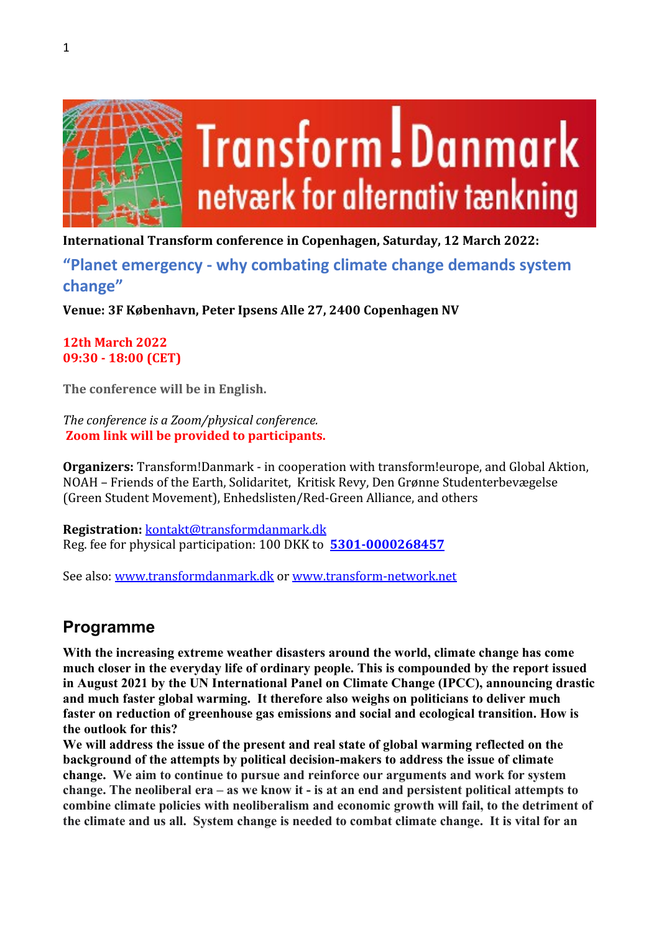

**International Transform conference in Copenhagen, Saturday, 12 March 2022:**

**"Planet emergency - why combating climate change demands system change"** 

**Venue: 3F København, Peter Ipsens Alle 27, 2400 Copenhagen NV**

**12th March 2022 09:30 - 18:00 (CET)**

**The conference will be in English.**

*The conference is a Zoom/physical conference.*  **Zoom link will be provided to participants.** 

**Organizers:** Transform!Danmark - in cooperation with transform!europe, and Global Aktion, NOAH – Friends of the Earth, Solidaritet, Kritisk Revy, Den Grønne Studenterbevægelse (Green Student Movement), Enhedslisten/Red-Green Alliance, and others

**Registration:** [kontakt@transformdanmark.dk](mailto:kontakt@transformdanmark.dk) Reg. fee for physical participation: 100 DKK to **[5301-0000268457](tel:5301-0000268457)**

See also: [www.transformdanmark.dk](http://www.transformdanmark.dk/) or [www.transform-network.net](http://www.transform-network.net/)

# **Programme**

**With the increasing extreme weather disasters around the world, climate change has come much closer in the everyday life of ordinary people. This is compounded by the report issued in August 2021 by the UN International Panel on Climate Change (IPCC), announcing drastic and much faster global warming. It therefore also weighs on politicians to deliver much faster on reduction of greenhouse gas emissions and social and ecological transition. How is the outlook for this?**

**We will address the issue of the present and real state of global warming reflected on the background of the attempts by political decision-makers to address the issue of climate change. We aim to continue to pursue and reinforce our arguments and work for system change. The neoliberal era – as we know it - is at an end and persistent political attempts to combine climate policies with neoliberalism and economic growth will fail, to the detriment of the climate and us all. System change is needed to combat climate change. It is vital for an**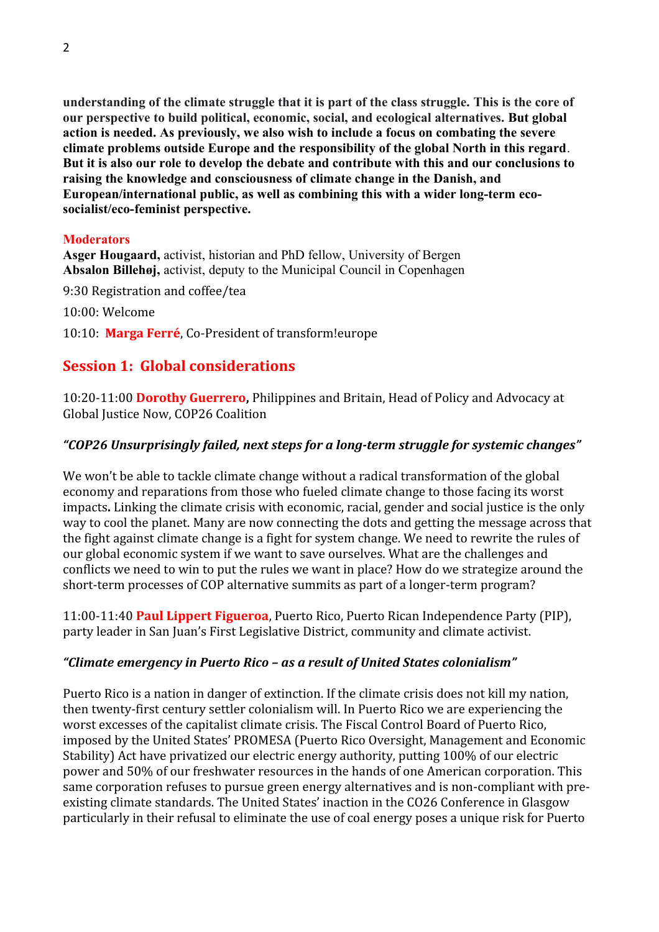**understanding of the climate struggle that it is part of the class struggle. This is the core of our perspective to build political, economic, social, and ecological alternatives. But global action is needed. As previously, we also wish to include a focus on combating the severe climate problems outside Europe and the responsibility of the global North in this regard**. **But it is also our role to develop the debate and contribute with this and our conclusions to raising the knowledge and consciousness of climate change in the Danish, and European/international public, as well as combining this with a wider long-term ecosocialist/eco-feminist perspective.**

#### **Moderators**

**Asger Hougaard,** activist, historian and PhD fellow, University of Bergen **Absalon Billehøj,** activist, deputy to the Municipal Council in Copenhagen

9:30 Registration and coffee/tea

10:00: Welcome

10:10: **Marga Ferré**, Co-President of transform!europe

# **Session 1: Global considerations**

10:20-11:00 **Dorothy Guerrero,** Philippines and Britain, Head of Policy and Advocacy at Global Justice Now, COP26 Coalition

## *"COP26 Unsurprisingly failed, next steps for a long-term struggle for systemic changes"*

We won't be able to tackle climate change without a radical transformation of the global economy and reparations from those who fueled climate change to those facing its worst impacts**.** Linking the climate crisis with economic, racial, gender and social justice is the only way to cool the planet. Many are now connecting the dots and getting the message across that the fight against climate change is a fight for system change. We need to rewrite the rules of our global economic system if we want to save ourselves. What are the challenges and conflicts we need to win to put the rules we want in place? How do we strategize around the short-term processes of COP alternative summits as part of a longer-term program?

11:00-11:40 **Paul Lippert Figueroa**, Puerto Rico, Puerto Rican Independence Party (PIP), party leader in San Juan's First Legislative District, community and climate activist.

## *"Climate emergency in Puerto Rico – as a result of United States colonialism"*

Puerto Rico is a nation in danger of extinction. If the climate crisis does not kill my nation, then twenty-first century settler colonialism will. In Puerto Rico we are experiencing the worst excesses of the capitalist climate crisis. The Fiscal Control Board of Puerto Rico, imposed by the United States' PROMESA (Puerto Rico Oversight, Management and Economic Stability) Act have privatized our electric energy authority, putting 100% of our electric power and 50% of our freshwater resources in the hands of one American corporation. This same corporation refuses to pursue green energy alternatives and is non-compliant with preexisting climate standards. The United States' inaction in the CO26 Conference in Glasgow particularly in their refusal to eliminate the use of coal energy poses a unique risk for Puerto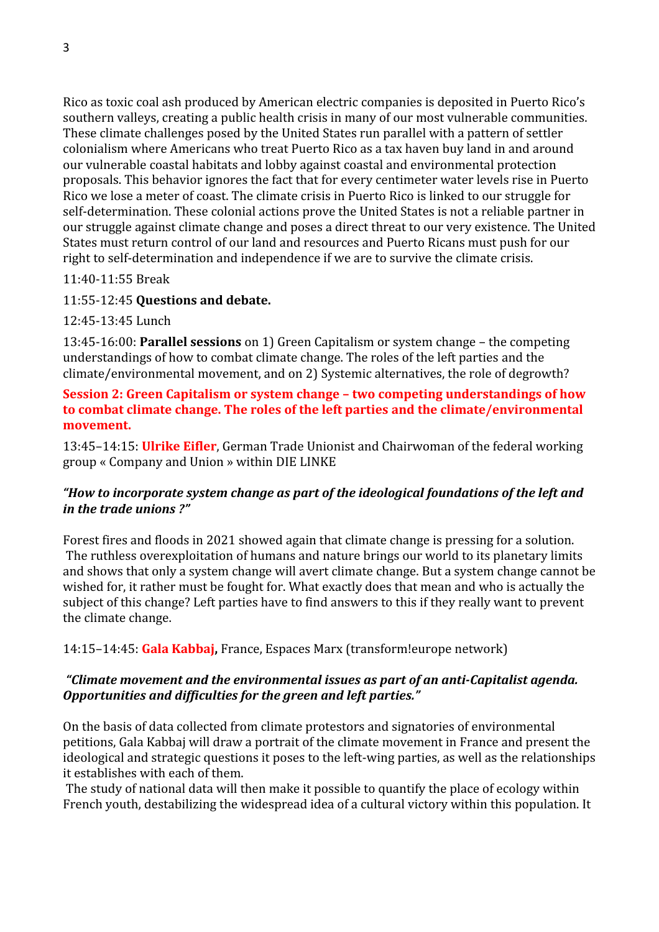Rico as toxic coal ash produced by American electric companies is deposited in Puerto Rico's southern valleys, creating a public health crisis in many of our most vulnerable communities. These climate challenges posed by the United States run parallel with a pattern of settler colonialism where Americans who treat Puerto Rico as a tax haven buy land in and around our vulnerable coastal habitats and lobby against coastal and environmental protection proposals. This behavior ignores the fact that for every centimeter water levels rise in Puerto Rico we lose a meter of coast. The climate crisis in Puerto Rico is linked to our struggle for self-determination. These colonial actions prove the United States is not a reliable partner in our struggle against climate change and poses a direct threat to our very existence. The United States must return control of our land and resources and Puerto Ricans must push for our right to self-determination and independence if we are to survive the climate crisis.

11:40-11:55 Break

## 11:55-12:45 **Questions and debate.**

12:45-13:45 Lunch

13:45-16:00: **Parallel sessions** on 1) Green Capitalism or system change – the competing understandings of how to combat climate change. The roles of the left parties and the climate/environmental movement, and on 2) Systemic alternatives, the role of degrowth?

## **Session 2: Green Capitalism or system change – two competing understandings of how to combat climate change. The roles of the left parties and the climate/environmental movement.**

13:45–14:15: **Ulrike Eifler**, German Trade Unionist and Chairwoman of the federal working group « Company and Union » within DIE LINKE

# *"How to incorporate system change as part of the ideological foundations of the left and in the trade unions ?"*

Forest fires and floods in 2021 showed again that climate change is pressing for a solution. The ruthless overexploitation of humans and nature brings our world to its planetary limits and shows that only a system change will avert climate change. But a system change cannot be wished for, it rather must be fought for. What exactly does that mean and who is actually the subject of this change? Left parties have to find answers to this if they really want to prevent the climate change.

14:15–14:45: **Gala Kabbaj,** France, Espaces Marx (transform!europe network)

## *"Climate movement and the environmental issues as part of an anti-Capitalist agenda. Opportunities and difficulties for the green and left parties."*

On the basis of data collected from climate protestors and signatories of environmental petitions, Gala Kabbaj will draw a portrait of the climate movement in France and present the ideological and strategic questions it poses to the left-wing parties, as well as the relationships it establishes with each of them.

The study of national data will then make it possible to quantify the place of ecology within French youth, destabilizing the widespread idea of a cultural victory within this population. It